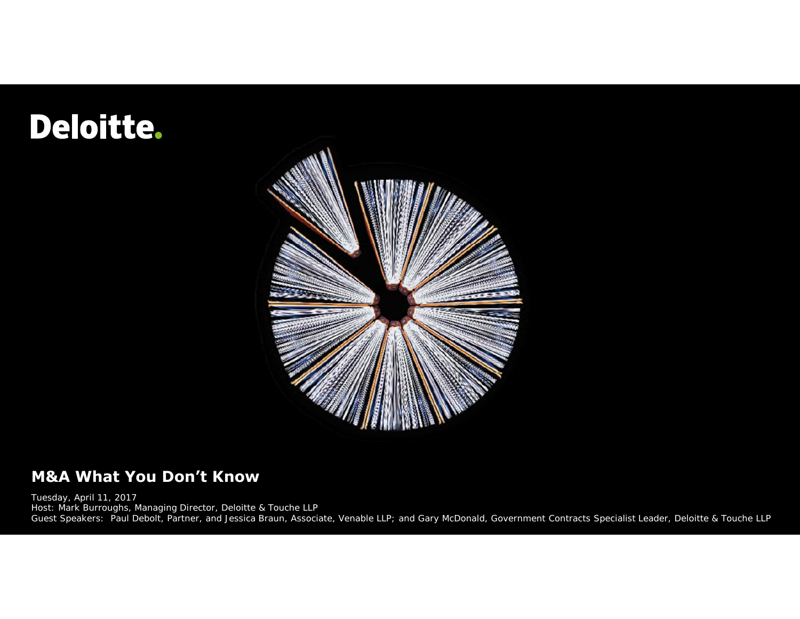## Deloitte.



#### **M&A What You Don't Know**

Tuesday, April 11, 2017 Host: Mark Burroughs, Managing Director, Deloitte & Touche LLP Guest Speakers: Paul Debolt, Partner, and Jessica Braun, Associate, Venable LLP; and Gary McDonald, Government Contracts Specialist Leader, Deloitte & Touche LLP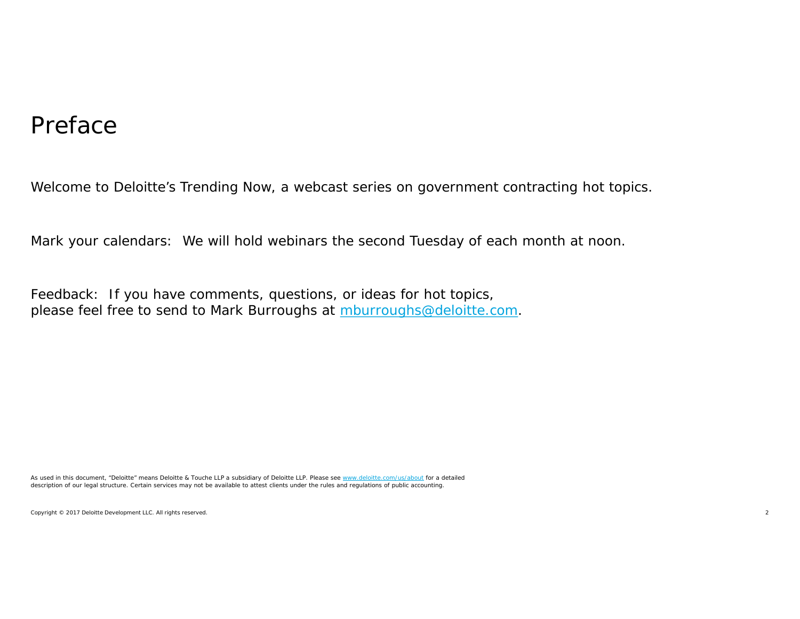#### Preface

Welcome to Deloitte's Trending Now, a webcast series on government contracting hot topics.

Mark your calendars: We will hold webinars the second Tuesday of each month at noon.

Feedback: If you have comments, questions, or ideas for hot topics, please feel free to send to Mark Burroughs at mburroughs@deloitte.com.

As used in this document, "Deloitte" means Deloitte & Touche LLP a subsidiary of Deloitte LLP. Please see www.deloitte.com/us/about for a detailed description of our legal structure. Certain services may not be available to attest clients under the rules and regulations of public accounting.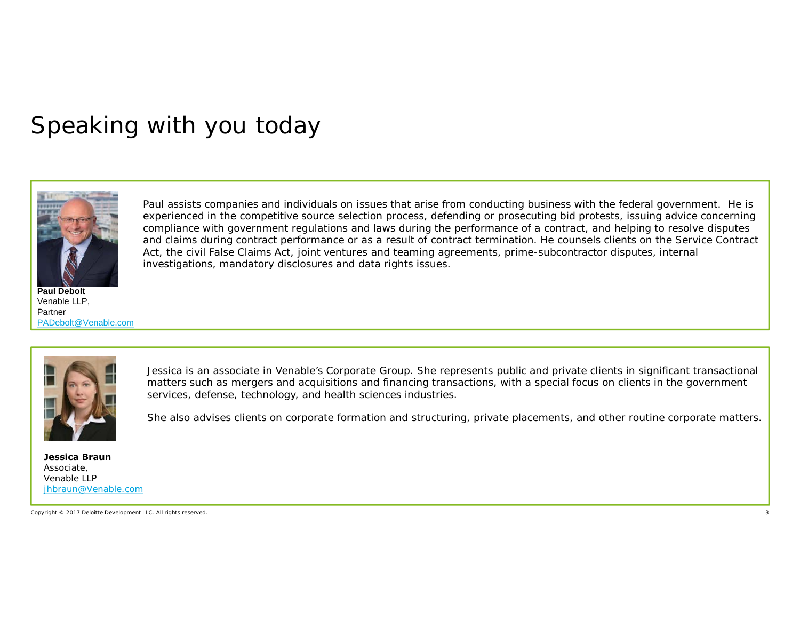#### Speaking with you today



**Paul Debolt** Venable LLP, Partner PADebolt@Venable.com

Paul assists companies and individuals on issues that arise from conducting business with the federal government. He is experienced in the competitive source selection process, defending or prosecuting bid protests, issuing advice concerning compliance with government regulations and laws during the performance of a contract, and helping to resolve disputes and claims during contract performance or as a result of contract termination. He counsels clients on the Service Contract Act, the civil False Claims Act, joint ventures and teaming agreements, prime-subcontractor disputes, internal investigations, mandatory disclosures and data rights issues.



Jessica is an associate in Venable's Corporate Group. She represents public and private clients in significant transactional matters such as mergers and acquisitions and financing transactions, with a special focus on clients in the government services, defense, technology, and health sciences industries.

She also advises clients on corporate formation and structuring, private placements, and other routine corporate matters.

**Jessica Braun** Associate, Venable LLP jhbraun@Venable.com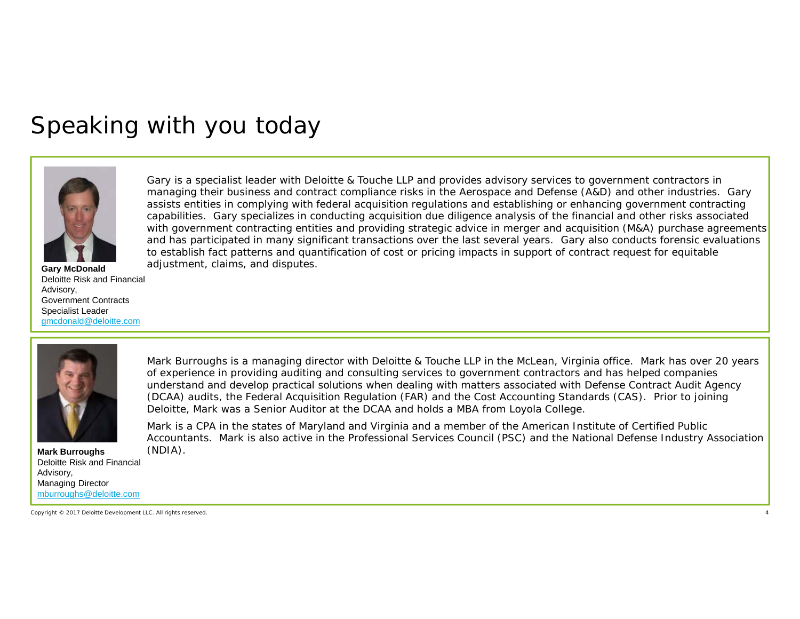#### Speaking with you today



Gary is a specialist leader with Deloitte & Touche LLP and provides advisory services to government contractors in managing their business and contract compliance risks in the Aerospace and Defense (A&D) and other industries. Gary assists entities in complying with federal acquisition regulations and establishing or enhancing government contracting capabilities. Gary specializes in conducting acquisition due diligence analysis of the financial and other risks associated with government contracting entities and providing strategic advice in merger and acquisition (M&A) purchase agreements and has participated in many significant transactions over the last several years. Gary also conducts forensic evaluations to establish fact patterns and quantification of cost or pricing impacts in support of contract request for equitable adjustment, claims, and disputes. **Gary McDonald**

Deloitte Risk and Financial Advisory, Government Contracts Specialist Leader gmcdonald@deloitte.com



Mark Burroughs is a managing director with Deloitte & Touche LLP in the McLean, Virginia office. Mark has over 20 years of experience in providing auditing and consulting services to government contractors and has helped companies understand and develop practical solutions when dealing with matters associated with Defense Contract Audit Agency (DCAA) audits, the Federal Acquisition Regulation (FAR) and the Cost Accounting Standards (CAS). Prior to joining Deloitte, Mark was a Senior Auditor at the DCAA and holds a MBA from Loyola College.

Mark is a CPA in the states of Maryland and Virginia and a member of the American Institute of Certified Public Accountants. Mark is also active in the Professional Services Council (PSC) and the National Defense Industry Association

**Mark Burroughs** (NDIA). Deloitte Risk and Financial Advisory, Managing Director mburroughs@deloitte.com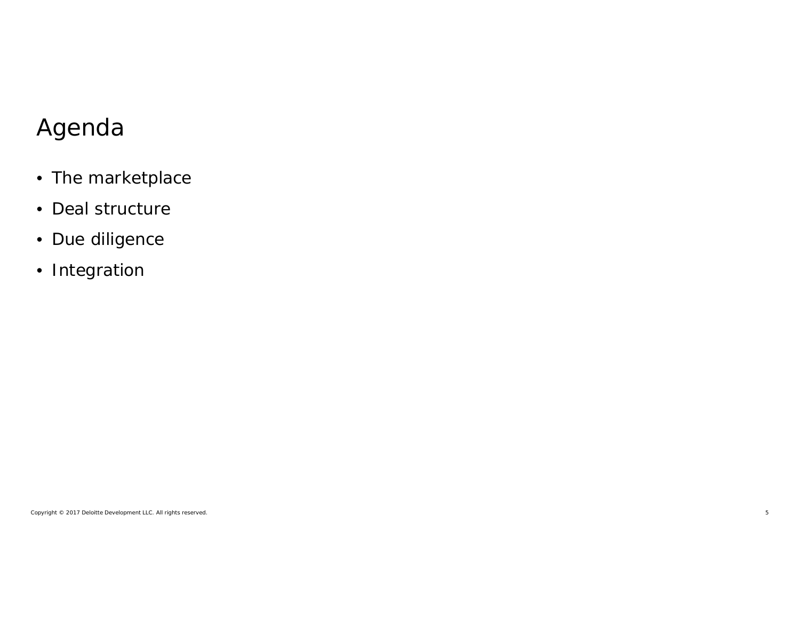#### Agenda

- The marketplace
- Deal structure
- Due diligence
- Integration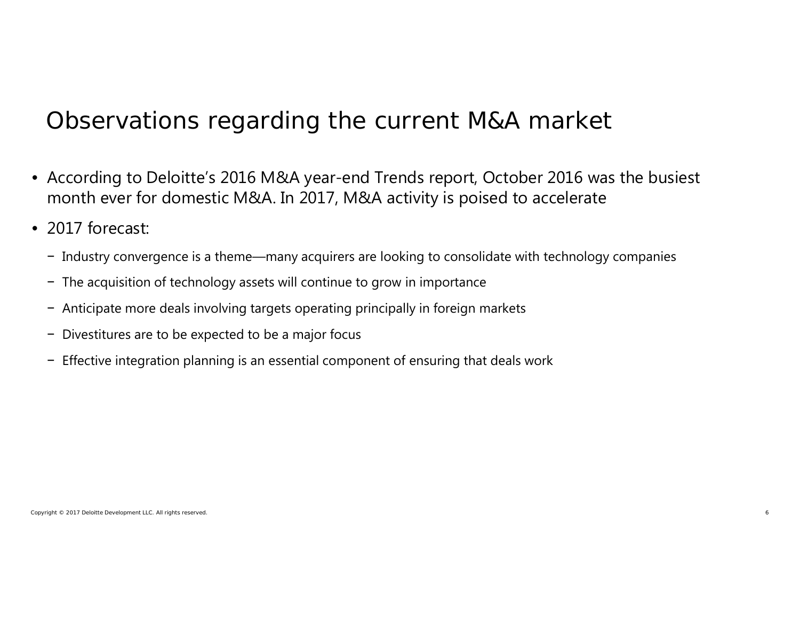#### Observations regarding the current M&A market

- According to Deloitte's 2016 M&A year-end Trends report, October 2016 was the busiest month ever for domestic M&A. In 2017, M&A activity is poised to accelerate
- 2017 forecast:
	- − Industry convergence is a theme—many acquirers are looking to consolidate with technology companies
	- − The acquisition of technology assets will continue to grow in importance
	- − Anticipate more deals involving targets operating principally in foreign markets
	- − Divestitures are to be expected to be a major focus
	- − Effective integration planning is an essential component of ensuring that deals work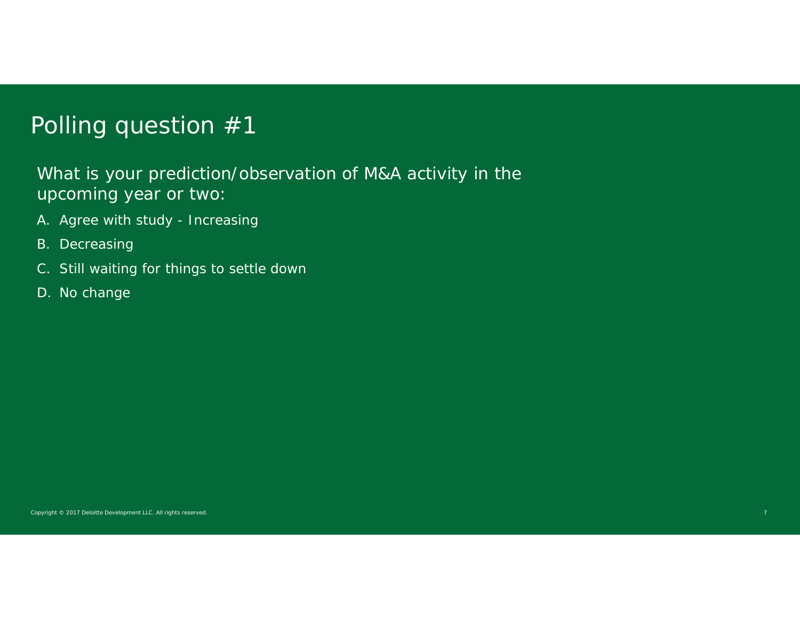#### Polling question #1

What is your prediction/observation of M&A activity in the upcoming year or two:

- A. Agree with study Increasing
- B. Decreasing
- C. Still waiting for things to settle down
- D. No change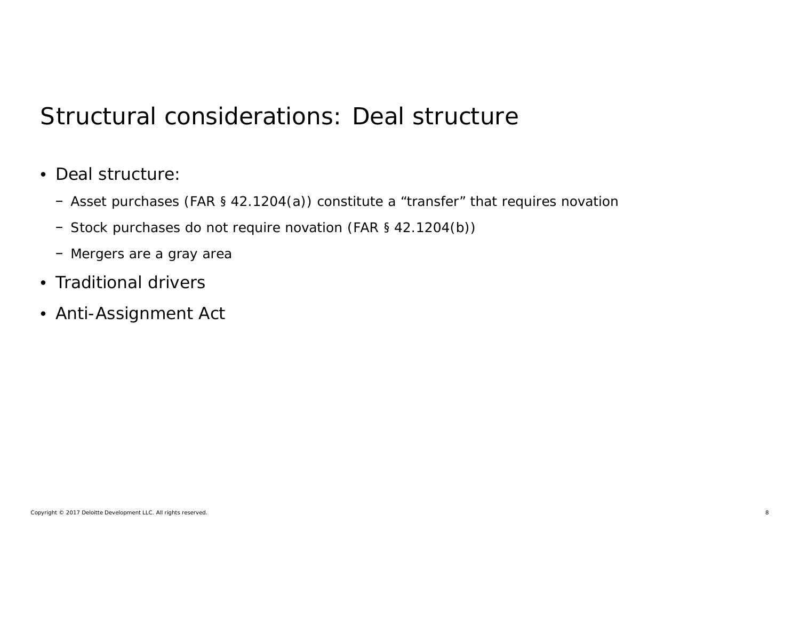#### Structural considerations: Deal structure

- Deal structure:
	- − Asset purchases (FAR § 42.1204(a)) constitute a "transfer" that requires novation
	- − Stock purchases do not require novation (FAR § 42.1204(b))
	- − Mergers are a gray area
- Traditional drivers
- Anti-Assignment Act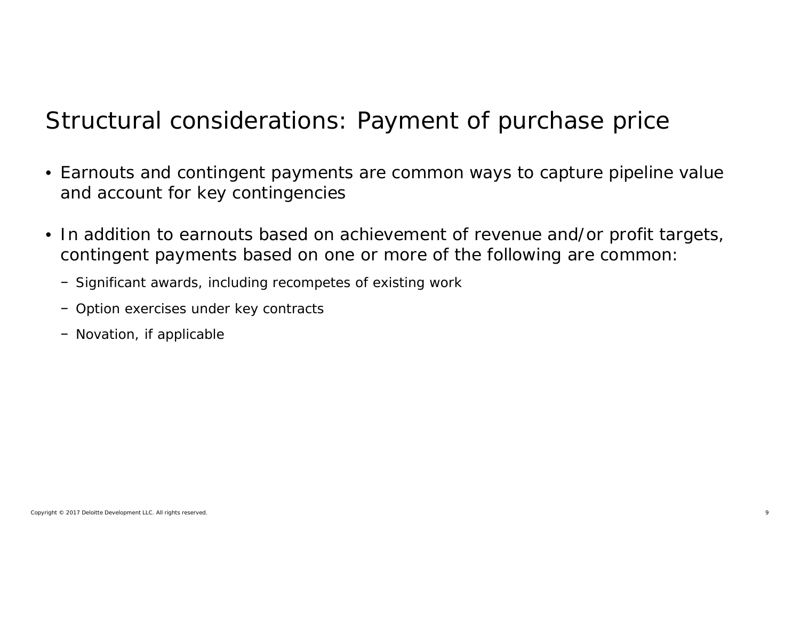#### Structural considerations: Payment of purchase price

- Earnouts and contingent payments are common ways to capture pipeline value and account for key contingencies
- In addition to earnouts based on achievement of revenue and/or profit targets, contingent payments based on one or more of the following are common:
	- − Significant awards, including recompetes of existing work
	- − Option exercises under key contracts
	- − Novation, if applicable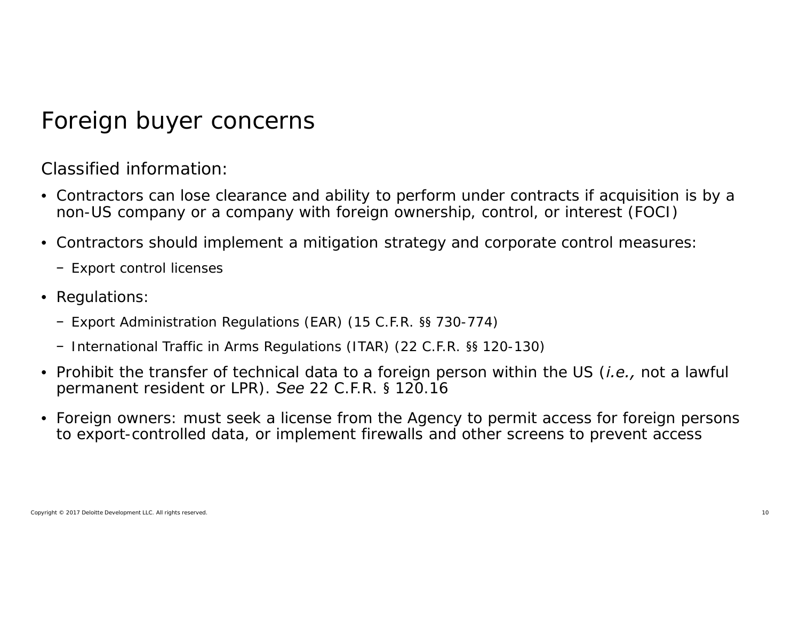#### Foreign buyer concerns

Classified information:

- Contractors can lose clearance and ability to perform under contracts if acquisition is by a non-US company or a company with foreign ownership, control, or interest (FOCI)
- Contractors should implement a mitigation strategy and corporate control measures:
	- − Export control licenses
- Regulations:
	- − Export Administration Regulations (EAR) (15 C.F.R. §§ 730-774)
	- − International Traffic in Arms Regulations (ITAR) (22 C.F.R. §§ 120-130)
- Prohibit the transfer of technical data to a foreign person within the US (*i.e.,* not a lawful permanent resident or LPR). *See* 22 C.F.R. § 120.16
- Foreign owners: must seek a license from the Agency to permit access for foreign persons to export-controlled data, or implement firewalls and other screens to prevent access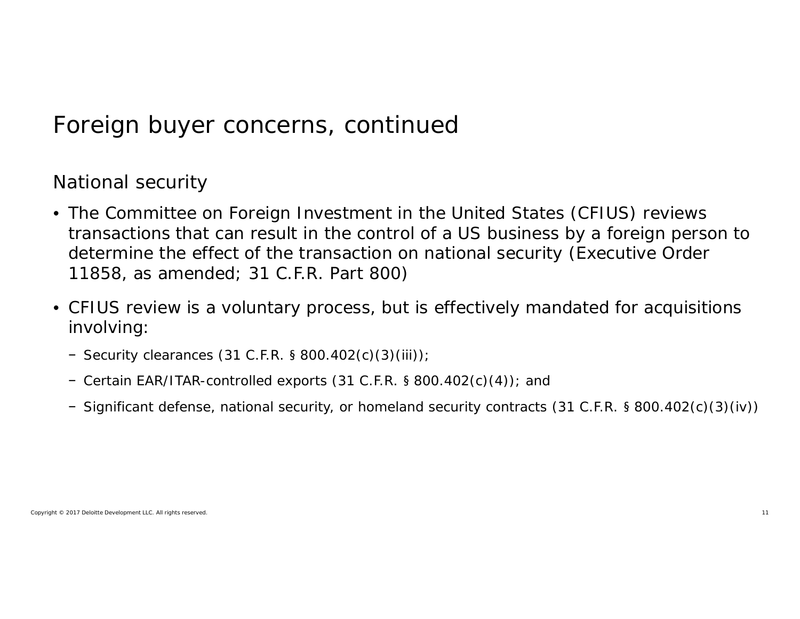#### Foreign buyer concerns, continued

National security

- The Committee on Foreign Investment in the United States (CFIUS) reviews transactions that can result in the control of a US business by a foreign person to determine the effect of the transaction on national security (Executive Order 11858, as amended; 31 C.F.R. Part 800)
- CFIUS review is a voluntary process, but is effectively mandated for acquisitions involving:
	- − Security clearances (31 C.F.R. § 800.402(c)(3)(iii));
	- − Certain EAR/ITAR-controlled exports (31 C.F.R. § 800.402(c)(4)); and
	- − Significant defense, national security, or homeland security contracts (31 C.F.R. § 800.402(c)(3)(iv))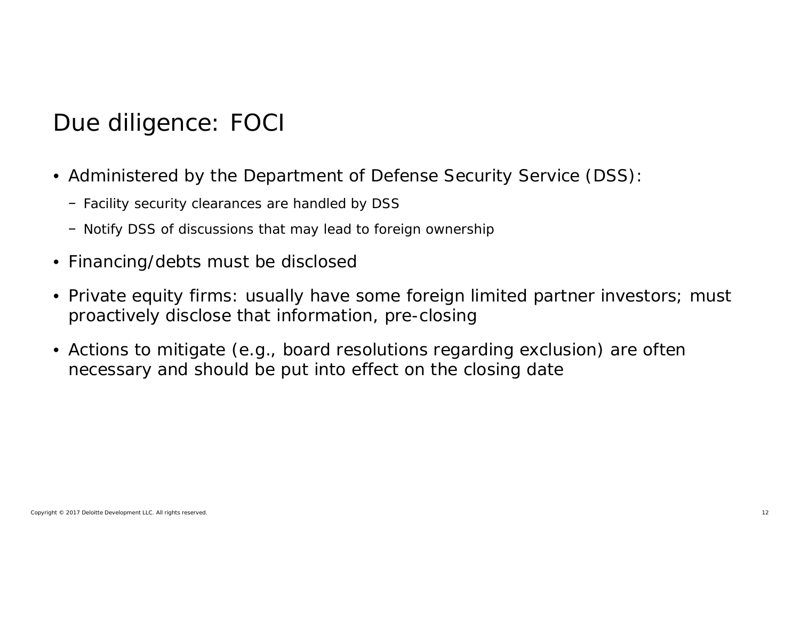## Due diligence: FOCI

- Administered by the Department of Defense Security Service (DSS):
	- − Facility security clearances are handled by DSS
	- − Notify DSS of discussions that may lead to foreign ownership
- Financing/debts must be disclosed
- Private equity firms: usually have some foreign limited partner investors; must proactively disclose that information, pre-closing
- Actions to mitigate (e.g., board resolutions regarding exclusion) are often necessary and should be put into effect on the closing date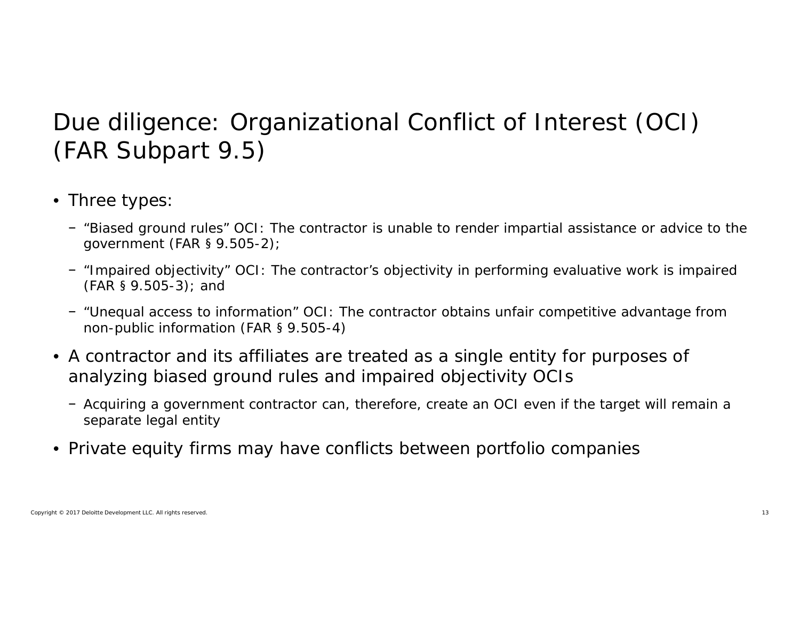### Due diligence: Organizational Conflict of Interest (OCI) (FAR Subpart 9.5)

- Three types:
	- − "Biased ground rules" OCI: The contractor is unable to render impartial assistance or advice to the government (FAR § 9.505-2);
	- − "Impaired objectivity" OCI: The contractor's objectivity in performing evaluative work is impaired (FAR § 9.505-3); and
	- − "Unequal access to information" OCI: The contractor obtains unfair competitive advantage from non-public information (FAR § 9.505-4)
- A contractor and its affiliates are treated as a single entity for purposes of analyzing biased ground rules and impaired objectivity OCIs
	- − Acquiring a government contractor can, therefore, create an OCI even if the target will remain a separate legal entity
- Private equity firms may have conflicts between portfolio companies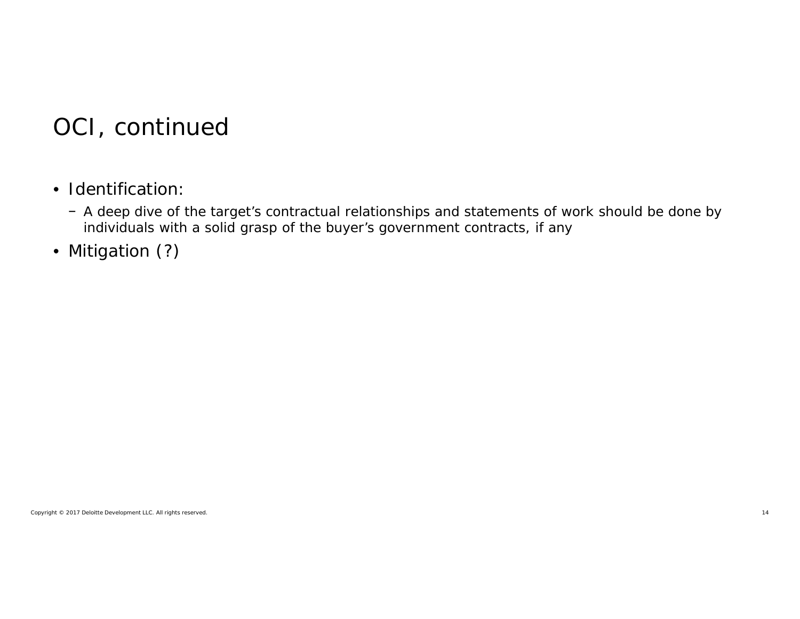#### OCI, continued

- Identification:
	- − A deep dive of the target's contractual relationships and statements of work should be done by individuals with a solid grasp of the buyer's government contracts, if any
- Mitigation (?)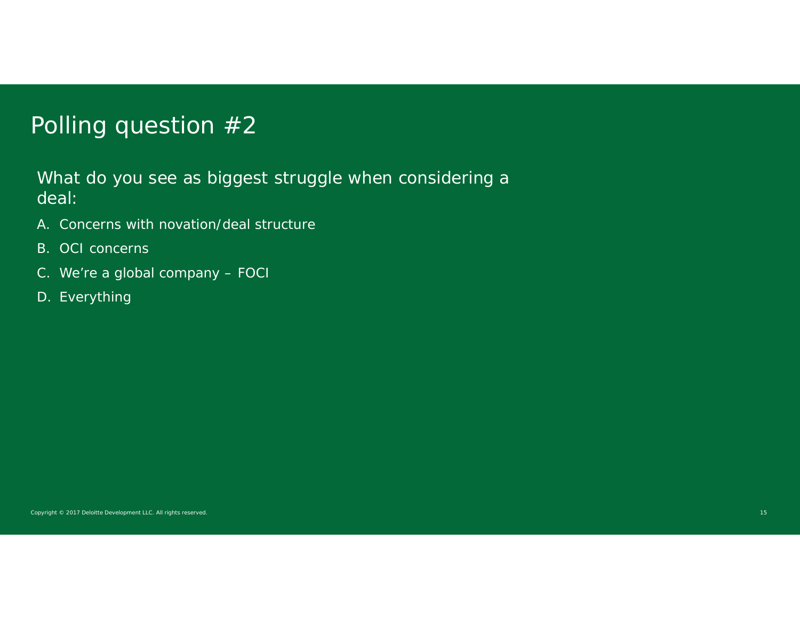#### Polling question #2

What do you see as biggest struggle when considering a deal:

- A. Concerns with novation/deal structure
- B. OCI concerns
- C. We're a global company FOCI
- D. Everything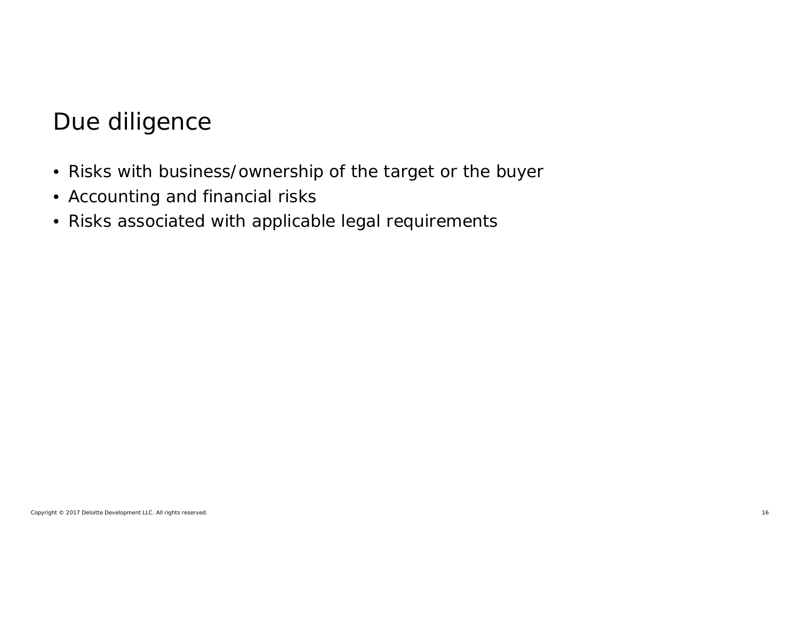#### Due diligence

- Risks with business/ownership of the target or the buyer
- Accounting and financial risks
- Risks associated with applicable legal requirements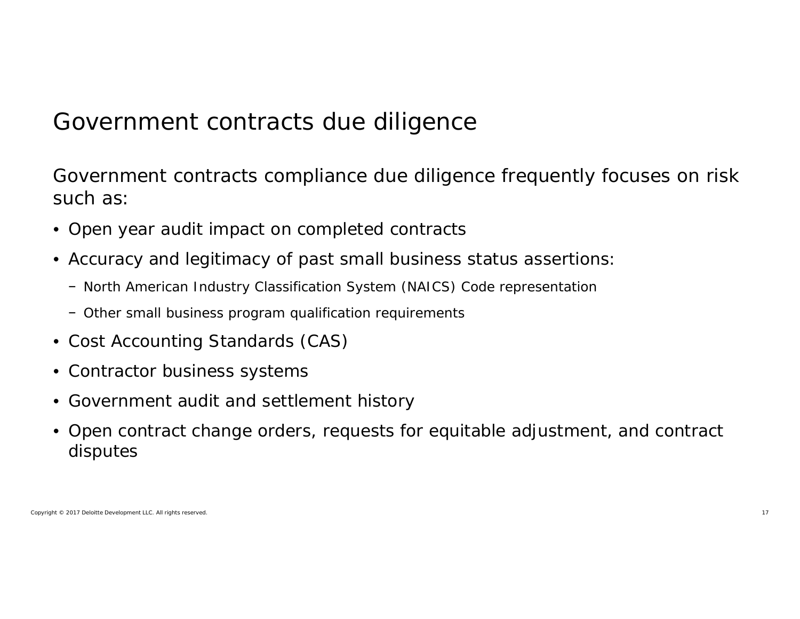#### Government contracts due diligence

Government contracts compliance due diligence frequently focuses on risk such as:

- Open year audit impact on completed contracts
- Accuracy and legitimacy of past small business status assertions:
	- − North American Industry Classification System (NAICS) Code representation
	- − Other small business program qualification requirements
- Cost Accounting Standards (CAS)
- Contractor business systems
- Government audit and settlement history
- Open contract change orders, requests for equitable adjustment, and contract disputes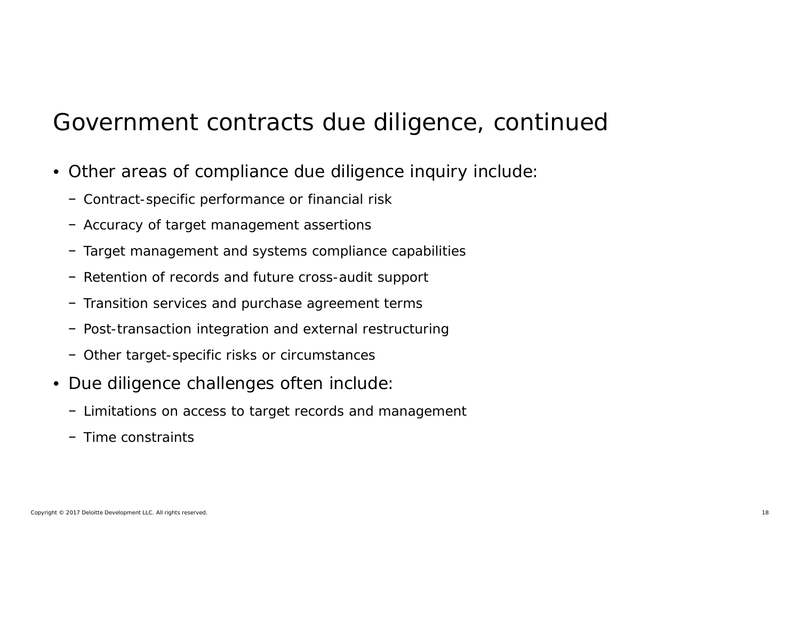#### Government contracts due diligence, continued

- Other areas of compliance due diligence inquiry include:
	- − Contract-specific performance or financial risk
	- − Accuracy of target management assertions
	- − Target management and systems compliance capabilities
	- − Retention of records and future cross-audit support
	- − Transition services and purchase agreement terms
	- − Post-transaction integration and external restructuring
	- − Other target-specific risks or circumstances
- Due diligence challenges often include:
	- − Limitations on access to target records and management
	- − Time constraints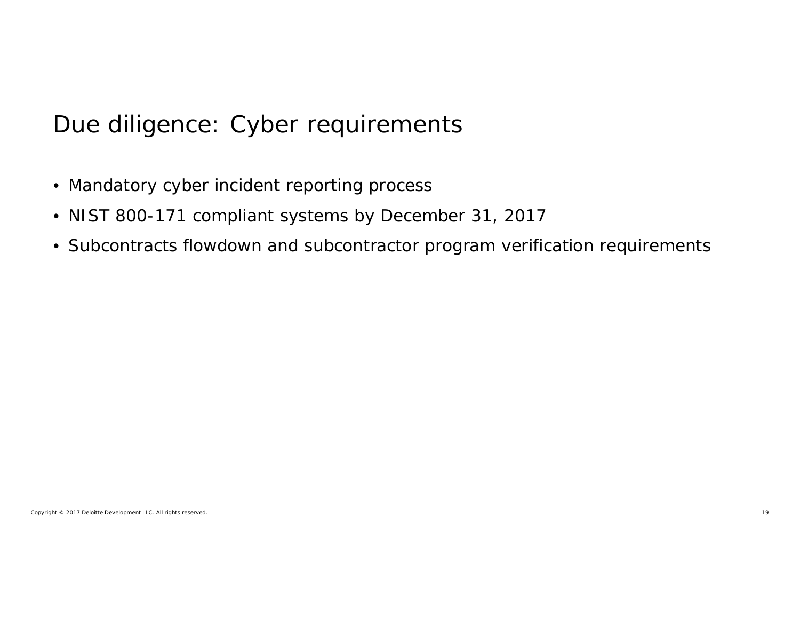#### Due diligence: Cyber requirements

- Mandatory cyber incident reporting process
- NIST 800-171 compliant systems by December 31, 2017
- Subcontracts flowdown and subcontractor program verification requirements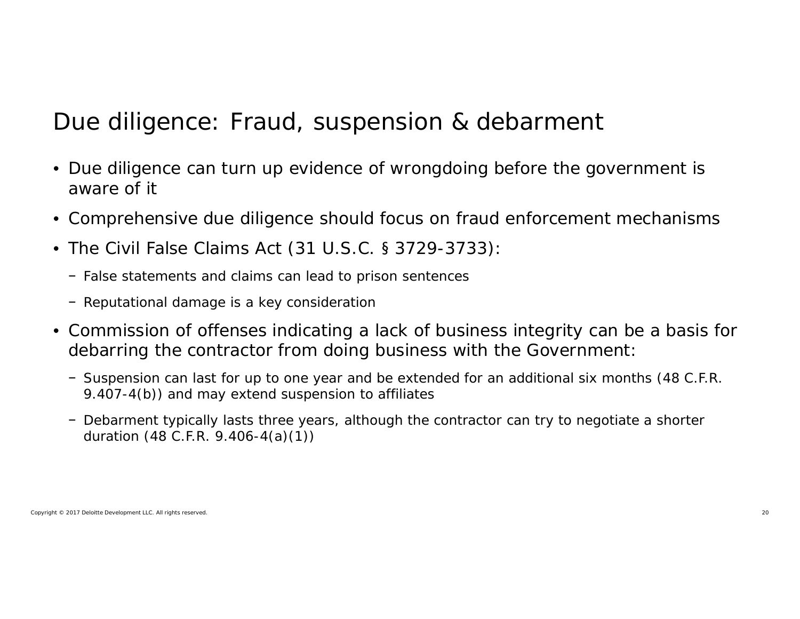#### Due diligence: Fraud, suspension & debarment

- Due diligence can turn up evidence of wrongdoing before the government is aware of it
- Comprehensive due diligence should focus on fraud enforcement mechanisms
- The Civil False Claims Act (31 U.S.C. § 3729-3733):
	- − False statements and claims can lead to prison sentences
	- − Reputational damage is a key consideration
- Commission of offenses indicating a lack of business integrity can be a basis for debarring the contractor from doing business with the Government:
	- − Suspension can last for up to one year and be extended for an additional six months (48 C.F.R. 9.407-4(b)) and may extend suspension to affiliates
	- − Debarment typically lasts three years, although the contractor can try to negotiate a shorter duration (48 C.F.R. 9.406-4(a)(1))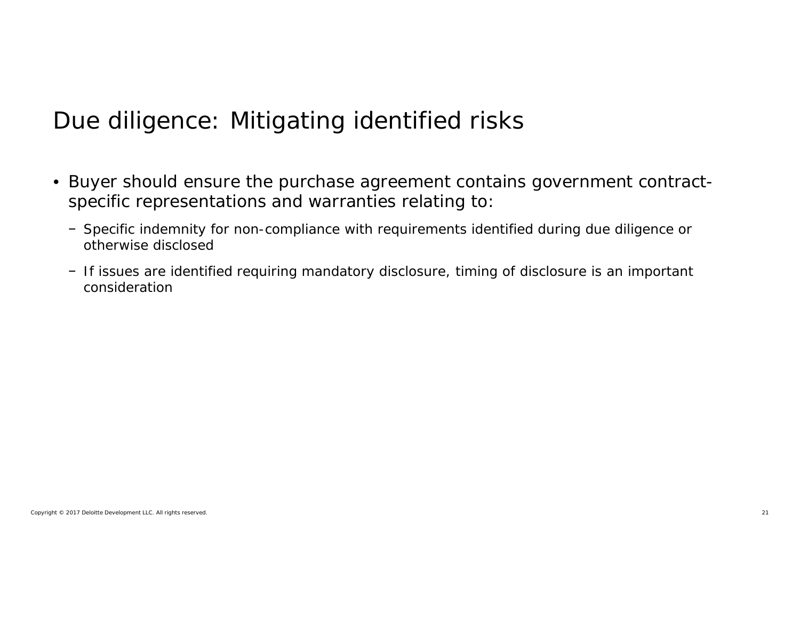### Due diligence: Mitigating identified risks

- Buyer should ensure the purchase agreement contains government contractspecific representations and warranties relating to:
	- − Specific indemnity for non-compliance with requirements identified during due diligence or otherwise disclosed
	- − If issues are identified requiring mandatory disclosure, timing of disclosure is an important consideration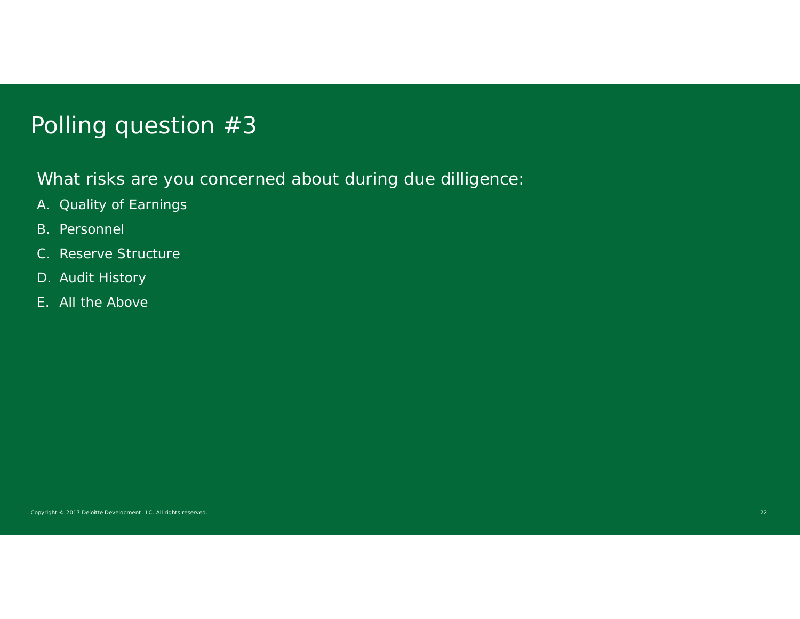#### Polling question #3

What risks are you concerned about during due dilligence:

- A. Quality of Earnings
- B. Personnel
- C. Reserve Structure
- D. Audit History
- E. All the Above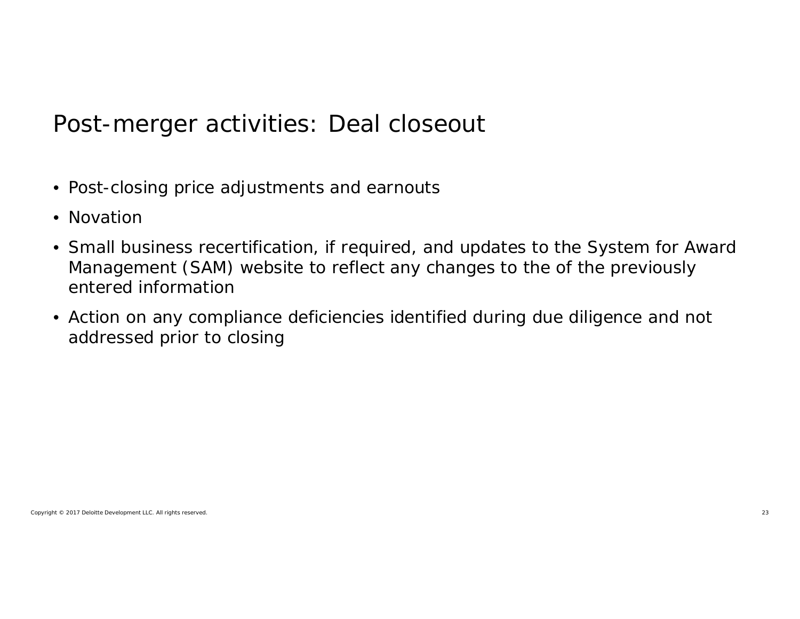#### Post-merger activities: Deal closeout

- Post-closing price adjustments and earnouts
- Novation
- Small business recertification, if required, and updates to the System for Award Management (SAM) website to reflect any changes to the of the previously entered information
- Action on any compliance deficiencies identified during due diligence and not addressed prior to closing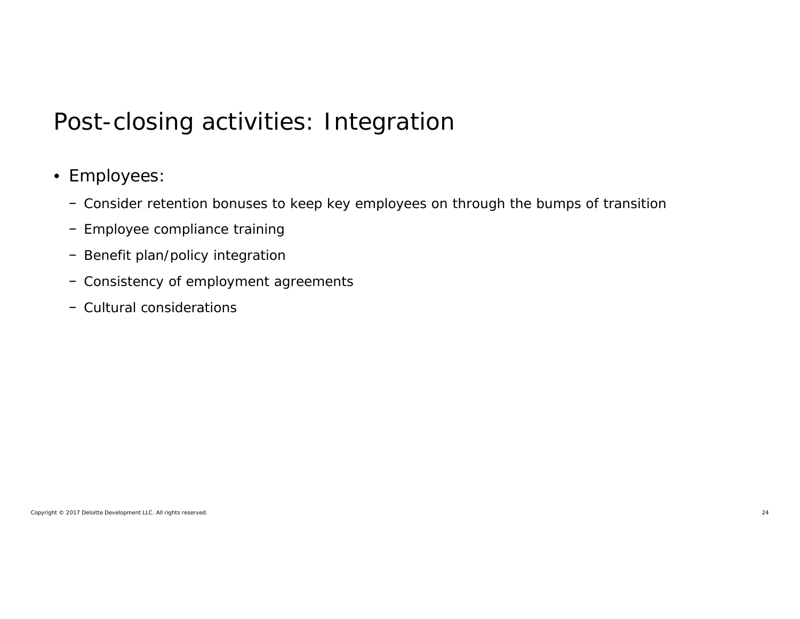#### Post-closing activities: Integration

#### • Employees:

- − Consider retention bonuses to keep key employees on through the bumps of transition
- − Employee compliance training
- − Benefit plan/policy integration
- − Consistency of employment agreements
- − Cultural considerations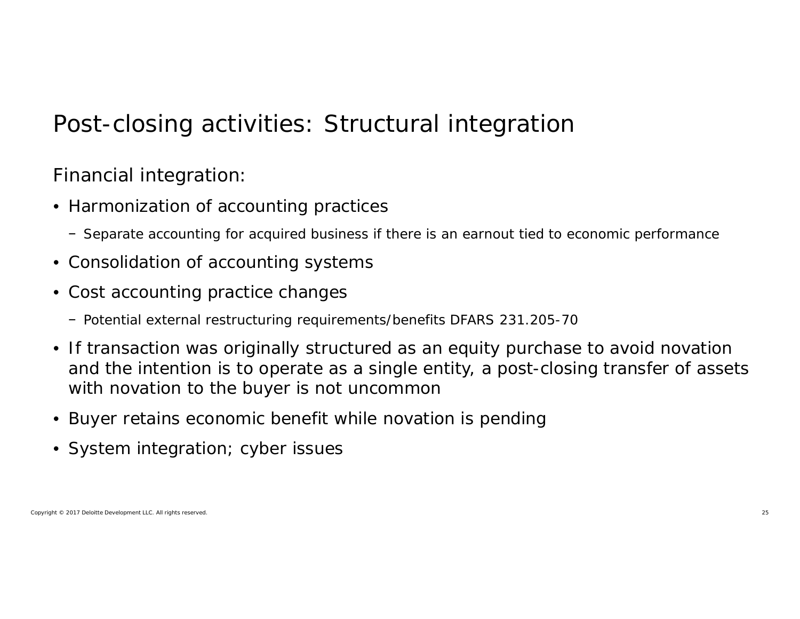### Post-closing activities: Structural integration

Financial integration:

- Harmonization of accounting practices
	- − Separate accounting for acquired business if there is an earnout tied to economic performance
- Consolidation of accounting systems
- Cost accounting practice changes
	- − Potential external restructuring requirements/benefits DFARS 231.205-70
- If transaction was originally structured as an equity purchase to avoid novation and the intention is to operate as a single entity, a post-closing transfer of assets with novation to the buyer is not uncommon
- Buyer retains economic benefit while novation is pending
- System integration; cyber issues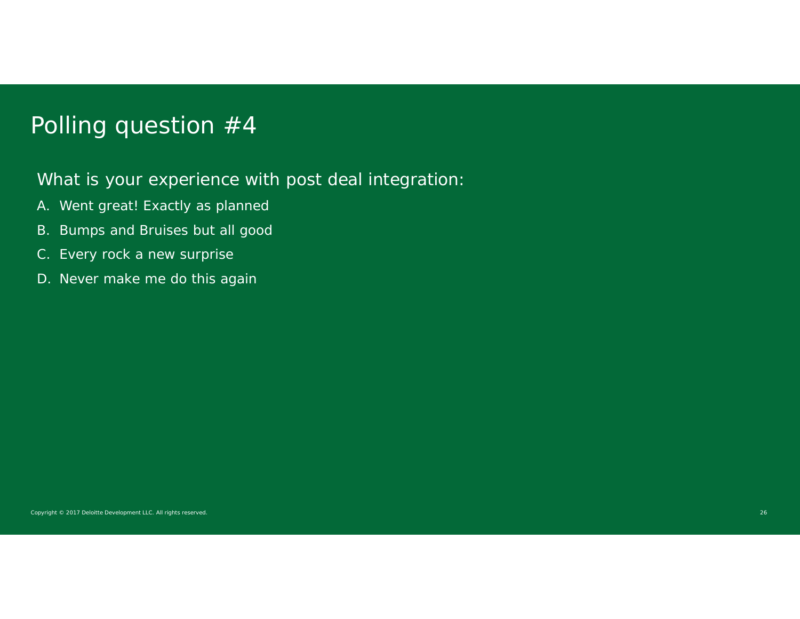#### Polling question #4

What is your experience with post deal integration:

- A. Went great! Exactly as planned
- B. Bumps and Bruises but all good
- C. Every rock a new surprise
- D. Never make me do this again